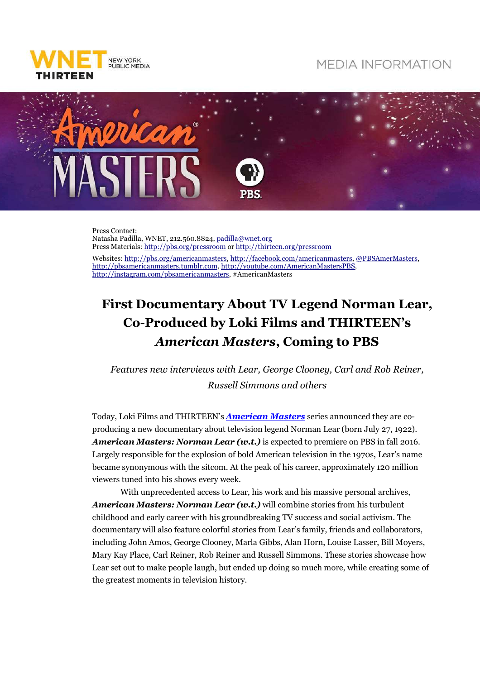

## **MEDIA INFORMATION**



Press Contact: Natasha Padilla, WNET, 212.560.8824, padilla@wnet.org Press Materials: http://pbs.org/pressroom or http://thirteen.org/pressroom Websites: http://pbs.org/americanmasters, http://facebook.com/americanmasters, @PBSAmerMasters, http://pbsamericanmasters.tumblr.com, http://youtube.com/AmericanMastersPBS,

http://instagram.com/pbsamericanmasters, #AmericanMasters

## **First Documentary About TV Legend Norman Lear, Co-Produced by Loki Films and THIRTEEN's**  *American Masters***, Coming to PBS**

*Features new interviews with Lear, George Clooney, Carl and Rob Reiner, Russell Simmons and others* 

Today, Loki Films and THIRTEEN's *American Masters* series announced they are coproducing a new documentary about television legend Norman Lear (born July 27, 1922). *American Masters: Norman Lear (w.t.)* is expected to premiere on PBS in fall 2016. Largely responsible for the explosion of bold American television in the 1970s, Lear's name became synonymous with the sitcom. At the peak of his career, approximately 120 million viewers tuned into his shows every week.

With unprecedented access to Lear, his work and his massive personal archives, *American Masters: Norman Lear (w.t.)* will combine stories from his turbulent childhood and early career with his groundbreaking TV success and social activism. The documentary will also feature colorful stories from Lear's family, friends and collaborators, including John Amos, George Clooney, Marla Gibbs, Alan Horn, Louise Lasser, Bill Moyers, Mary Kay Place, Carl Reiner, Rob Reiner and Russell Simmons. These stories showcase how Lear set out to make people laugh, but ended up doing so much more, while creating some of the greatest moments in television history.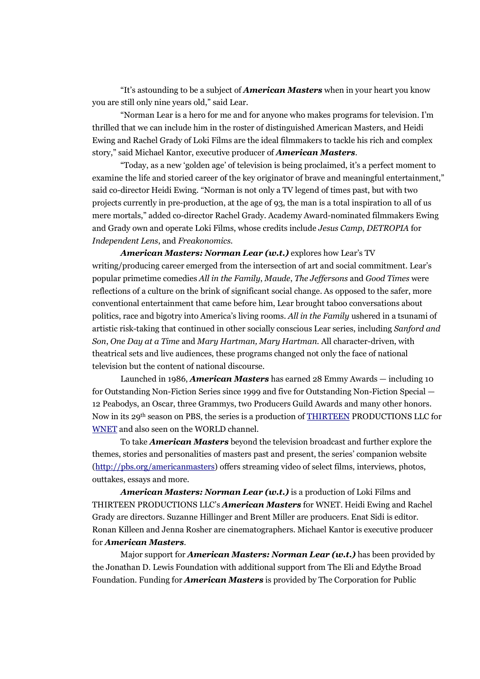"It's astounding to be a subject of *American Masters* when in your heart you know you are still only nine years old," said Lear.

"Norman Lear is a hero for me and for anyone who makes programs for television. I'm thrilled that we can include him in the roster of distinguished American Masters, and Heidi Ewing and Rachel Grady of Loki Films are the ideal filmmakers to tackle his rich and complex story," said Michael Kantor, executive producer of *American Masters*.

"Today, as a new 'golden age' of television is being proclaimed, it's a perfect moment to examine the life and storied career of the key originator of brave and meaningful entertainment," said co-director Heidi Ewing. "Norman is not only a TV legend of times past, but with two projects currently in pre-production, at the age of 93, the man is a total inspiration to all of us mere mortals," added co-director Rachel Grady. Academy Award-nominated filmmakers Ewing and Grady own and operate Loki Films, whose credits include *Jesus Camp*, *DETROPIA* for *Independent Lens*, and *Freakonomics*.

*American Masters: Norman Lear (w.t.)* explores how Lear's TV writing/producing career emerged from the intersection of art and social commitment. Lear's popular primetime comedies *All in the Family*, *Maude*, *The Jeffersons* and *Good Times* were reflections of a culture on the brink of significant social change. As opposed to the safer, more conventional entertainment that came before him, Lear brought taboo conversations about politics, race and bigotry into America's living rooms. *All in the Family* ushered in a tsunami of artistic risk-taking that continued in other socially conscious Lear series, including *Sanford and Son*, *One Day at a Time* and *Mary Hartman, Mary Hartman*. All character-driven, with theatrical sets and live audiences, these programs changed not only the face of national television but the content of national discourse.

Launched in 1986, *American Masters* has earned 28 Emmy Awards — including 10 for Outstanding Non-Fiction Series since 1999 and five for Outstanding Non-Fiction Special — 12 Peabodys, an Oscar, three Grammys, two Producers Guild Awards and many other honors. Now in its 29th season on PBS, the series is a production of THIRTEEN PRODUCTIONS LLC for WNET and also seen on the WORLD channel.

To take *American Masters* beyond the television broadcast and further explore the themes, stories and personalities of masters past and present, the series' companion website (http://pbs.org/americanmasters) offers streaming video of select films, interviews, photos, outtakes, essays and more.

*American Masters: Norman Lear (w.t.)* is a production of Loki Films and THIRTEEN PRODUCTIONS LLC's *American Masters* for WNET. Heidi Ewing and Rachel Grady are directors. Suzanne Hillinger and Brent Miller are producers. Enat Sidi is editor. Ronan Killeen and Jenna Rosher are cinematographers. Michael Kantor is executive producer for *American Masters*.

Major support for *American Masters: Norman Lear (w.t.)* has been provided by the Jonathan D. Lewis Foundation with additional support from The Eli and Edythe Broad Foundation. Funding for *American Masters* is provided by The Corporation for Public